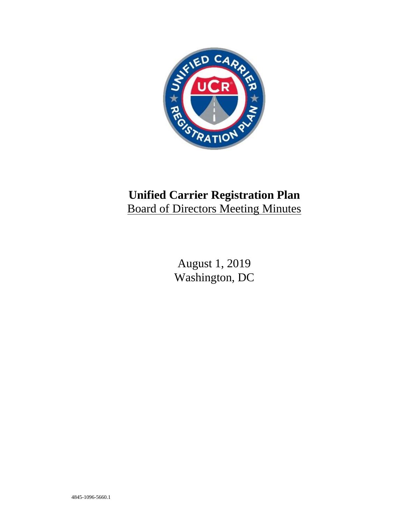

# **Unified Carrier Registration Plan** Board of Directors Meeting Minutes

August 1, 2019 Washington, DC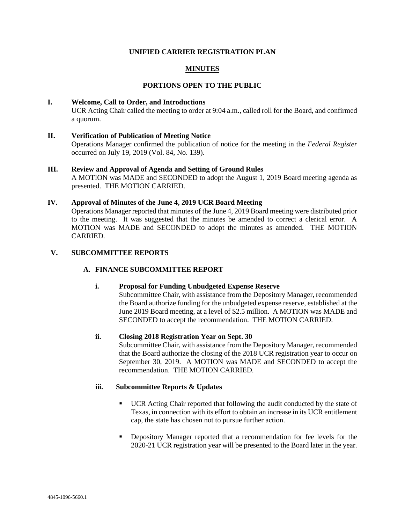## **UNIFIED CARRIER REGISTRATION PLAN**

## **MINUTES**

## **PORTIONS OPEN TO THE PUBLIC**

#### **I. Welcome, Call to Order, and Introductions**

UCR Acting Chair called the meeting to order at 9:04 a.m., called roll for the Board, and confirmed a quorum.

#### **II. Verification of Publication of Meeting Notice**

Operations Manager confirmed the publication of notice for the meeting in the *Federal Register* occurred on July 19, 2019 (Vol. 84, No. 139).

#### **III. Review and Approval of Agenda and Setting of Ground Rules**

A MOTION was MADE and SECONDED to adopt the August 1, 2019 Board meeting agenda as presented. THE MOTION CARRIED.

#### **IV. Approval of Minutes of the June 4, 2019 UCR Board Meeting**

Operations Manager reported that minutes of the June 4, 2019 Board meeting were distributed prior to the meeting. It was suggested that the minutes be amended to correct a clerical error. A MOTION was MADE and SECONDED to adopt the minutes as amended. THE MOTION CARRIED.

#### **V. SUBCOMMITTEE REPORTS**

### **A. FINANCE SUBCOMMITTEE REPORT**

#### **i. Proposal for Funding Unbudgeted Expense Reserve**

Subcommittee Chair, with assistance from the Depository Manager, recommended the Board authorize funding for the unbudgeted expense reserve, established at the June 2019 Board meeting, at a level of \$2.5 million. A MOTION was MADE and SECONDED to accept the recommendation. THE MOTION CARRIED.

#### **ii. Closing 2018 Registration Year on Sept. 30**

Subcommittee Chair, with assistance from the Depository Manager, recommended that the Board authorize the closing of the 2018 UCR registration year to occur on September 30, 2019. A MOTION was MADE and SECONDED to accept the recommendation. THE MOTION CARRIED.

## **iii. Subcommittee Reports & Updates**

- UCR Acting Chair reported that following the audit conducted by the state of Texas, in connection with its effort to obtain an increase in its UCR entitlement cap, the state has chosen not to pursue further action.
- **•** Depository Manager reported that a recommendation for fee levels for the 2020-21 UCR registration year will be presented to the Board later in the year.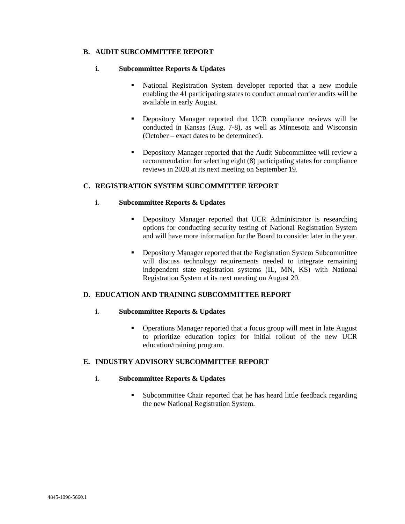## **B. AUDIT SUBCOMMITTEE REPORT**

#### **i. Subcommittee Reports & Updates**

- National Registration System developer reported that a new module enabling the 41 participating states to conduct annual carrier audits will be available in early August.
- Depository Manager reported that UCR compliance reviews will be conducted in Kansas (Aug. 7-8), as well as Minnesota and Wisconsin (October – exact dates to be determined).
- Depository Manager reported that the Audit Subcommittee will review a recommendation for selecting eight (8) participating states for compliance reviews in 2020 at its next meeting on September 19.

#### **C. REGISTRATION SYSTEM SUBCOMMITTEE REPORT**

#### **i. Subcommittee Reports & Updates**

- **•** Depository Manager reported that UCR Administrator is researching options for conducting security testing of National Registration System and will have more information for the Board to consider later in the year.
- Depository Manager reported that the Registration System Subcommittee will discuss technology requirements needed to integrate remaining independent state registration systems (IL, MN, KS) with National Registration System at its next meeting on August 20.

## **D. EDUCATION AND TRAINING SUBCOMMITTEE REPORT**

#### **i. Subcommittee Reports & Updates**

■ Operations Manager reported that a focus group will meet in late August to prioritize education topics for initial rollout of the new UCR education/training program.

## **E. INDUSTRY ADVISORY SUBCOMMITTEE REPORT**

#### **i. Subcommittee Reports & Updates**

■ Subcommittee Chair reported that he has heard little feedback regarding the new National Registration System.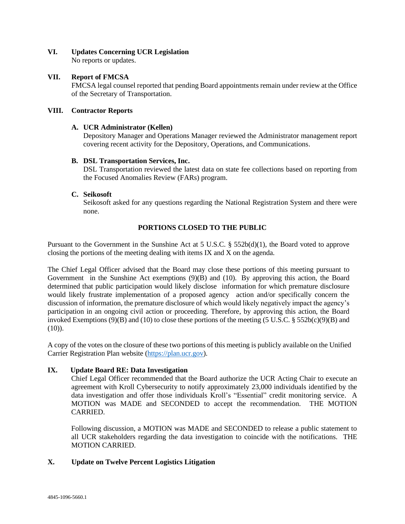## **VI. Updates Concerning UCR Legislation**

No reports or updates.

## **VII. Report of FMCSA**

FMCSA legal counsel reported that pending Board appointments remain under review at the Office of the Secretary of Transportation.

## **VIII. Contractor Reports**

## **A. UCR Administrator (Kellen)**

Depository Manager and Operations Manager reviewed the Administrator management report covering recent activity for the Depository, Operations, and Communications.

## **B. DSL Transportation Services, Inc.**

DSL Transportation reviewed the latest data on state fee collections based on reporting from the Focused Anomalies Review (FARs) program.

## **C. Seikosoft**

Seikosoft asked for any questions regarding the National Registration System and there were none.

## **PORTIONS CLOSED TO THE PUBLIC**

Pursuant to the Government in the Sunshine Act at 5 U.S.C. § 552b(d)(1), the Board voted to approve closing the portions of the meeting dealing with items IX and X on the agenda.

The Chief Legal Officer advised that the Board may close these portions of this meeting pursuant to Government in the Sunshine Act exemptions (9)(B) and (10). By approving this action, the Board determined that public participation would likely disclose information for which premature disclosure would likely frustrate implementation of a proposed agency action and/or specifically concern the discussion of information, the premature disclosure of which would likely negatively impact the agency's participation in an ongoing civil action or proceeding. Therefore, by approving this action, the Board invoked Exemptions (9)(B) and (10) to close these portions of the meeting (5 U.S.C. § 552b(c)(9)(B) and  $(10)$ ).

A copy of the votes on the closure of these two portions of this meeting is publicly available on the Unified Carrier Registration Plan website [\(https://plan.ucr.gov\)](https://plan.ucr.gov/).

## **IX. Update Board RE: Data Investigation**

Chief Legal Officer recommended that the Board authorize the UCR Acting Chair to execute an agreement with Kroll Cybersecurity to notify approximately 23,000 individuals identified by the data investigation and offer those individuals Kroll's "Essential" credit monitoring service. A MOTION was MADE and SECONDED to accept the recommendation. THE MOTION CARRIED.

Following discussion, a MOTION was MADE and SECONDED to release a public statement to all UCR stakeholders regarding the data investigation to coincide with the notifications. THE MOTION CARRIED.

## **X. Update on Twelve Percent Logistics Litigation**